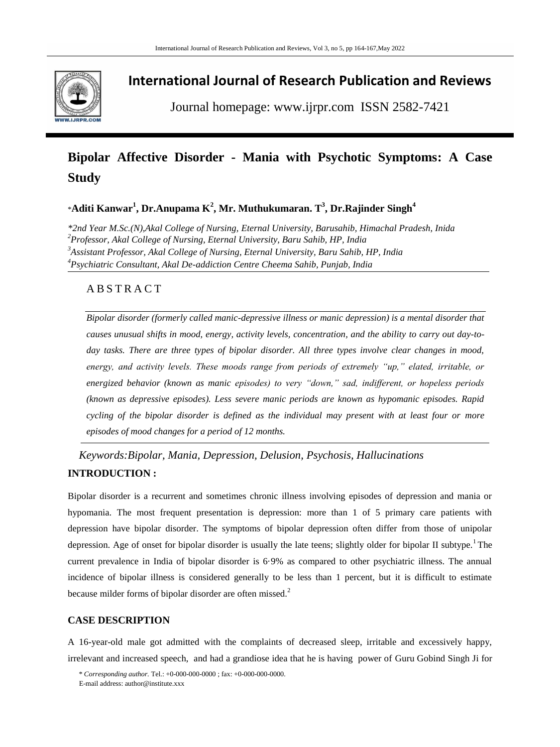

## **International Journal of Research Publication and Reviews**

Journal homepage: www.ijrpr.com ISSN 2582-7421

# **Bipolar Affective Disorder - Mania with Psychotic Symptoms: A Case Study**

\***Aditi Kanwar<sup>1</sup> , Dr.Anupama K<sup>2</sup> , Mr. Muthukumaran. T<sup>3</sup> , Dr.Rajinder Singh<sup>4</sup>**

*\*2nd Year M.Sc.(N),Akal College of Nursing, Eternal University, Barusahib, Himachal Pradesh, Inida Professor, Akal College of Nursing, Eternal University, Baru Sahib, HP, India Assistant Professor, Akal College of Nursing, Eternal University, Baru Sahib, HP, India Psychiatric Consultant, Akal De-addiction Centre Cheema Sahib, Punjab, India*

### A B S T R A C T

*Bipolar disorder (formerly called manic-depressive illness or manic depression) is a mental disorder that causes unusual shifts in mood, energy, activity levels, concentration, and the ability to carry out day-today tasks. There are three types of bipolar disorder. All three types involve clear changes in mood, energy, and activity levels. These moods range from periods of extremely "up," elated, irritable, or energized behavior (known as manic episodes) to very "down," sad, indifferent, or hopeless periods (known as depressive episodes). Less severe manic periods are known as hypomanic episodes. Rapid cycling of the bipolar disorder is defined as the individual may present with at least four or more episodes of mood changes for a period of 12 months.*

*Keywords:Bipolar, Mania, Depression, Delusion, Psychosis, Hallucinations* **INTRODUCTION :** 

Bipolar disorder is a recurrent and sometimes chronic illness involving episodes of depression and mania or hypomania. The most frequent presentation is depression: more than 1 of 5 primary care patients with depression have bipolar disorder. The symptoms of bipolar depression often differ from those of unipolar depression. Age of onset for bipolar disorder is usually the late teens; slightly older for bipolar II subtype.<sup>1</sup>The current prevalence in India of bipolar disorder is 6·9% as compared to other psychiatric illness. The annual incidence of bipolar illness is considered generally to be less than 1 percent, but it is difficult to estimate because milder forms of bipolar disorder are often missed.<sup>2</sup>

#### **CASE DESCRIPTION**

A 16-year-old male got admitted with the complaints of decreased sleep, irritable and excessively happy, irrelevant and increased speech, and had a grandiose idea that he is having power of Guru Gobind Singh Ji for

<sup>\*</sup> *Corresponding author.* Tel.: +0-000-000-0000 ; fax: +0-000-000-0000.

E-mail address: author@institute.xxx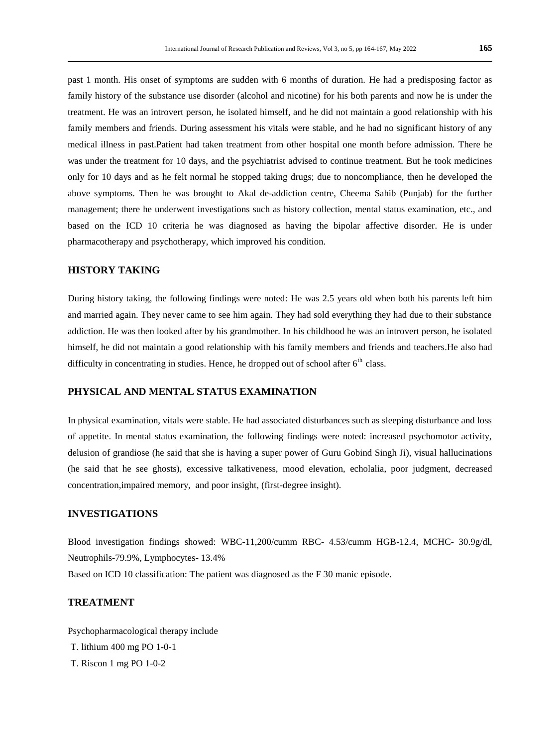past 1 month. His onset of symptoms are sudden with 6 months of duration. He had a predisposing factor as family history of the substance use disorder (alcohol and nicotine) for his both parents and now he is under the treatment. He was an introvert person, he isolated himself, and he did not maintain a good relationship with his family members and friends. During assessment his vitals were stable, and he had no significant history of any medical illness in past.Patient had taken treatment from other hospital one month before admission. There he was under the treatment for 10 days, and the psychiatrist advised to continue treatment. But he took medicines only for 10 days and as he felt normal he stopped taking drugs; due to noncompliance, then he developed the above symptoms. Then he was brought to Akal de-addiction centre, Cheema Sahib (Punjab) for the further management; there he underwent investigations such as history collection, mental status examination, etc., and based on the ICD 10 criteria he was diagnosed as having the bipolar affective disorder. He is under pharmacotherapy and psychotherapy, which improved his condition.

#### **HISTORY TAKING**

During history taking, the following findings were noted: He was 2.5 years old when both his parents left him and married again. They never came to see him again. They had sold everything they had due to their substance addiction. He was then looked after by his grandmother. In his childhood he was an introvert person, he isolated himself, he did not maintain a good relationship with his family members and friends and teachers.He also had difficulty in concentrating in studies. Hence, he dropped out of school after  $6<sup>th</sup>$  class.

#### **PHYSICAL AND MENTAL STATUS EXAMINATION**

In physical examination, vitals were stable. He had associated disturbances such as sleeping disturbance and loss of appetite. In mental status examination, the following findings were noted: increased psychomotor activity, delusion of grandiose (he said that she is having a super power of Guru Gobind Singh Ji), visual hallucinations (he said that he see ghosts), excessive talkativeness, mood elevation, echolalia, poor judgment, decreased concentration,impaired memory, and poor insight, (first-degree insight).

#### **INVESTIGATIONS**

Blood investigation findings showed: WBC-11,200/cumm RBC- 4.53/cumm HGB-12.4, MCHC- 30.9g/dl, Neutrophils-79.9%, Lymphocytes- 13.4% Based on ICD 10 classification: The patient was diagnosed as the F 30 manic episode.

#### **TREATMENT**

Psychopharmacological therapy include T. lithium 400 mg PO 1-0-1

T. Riscon 1 mg PO 1-0-2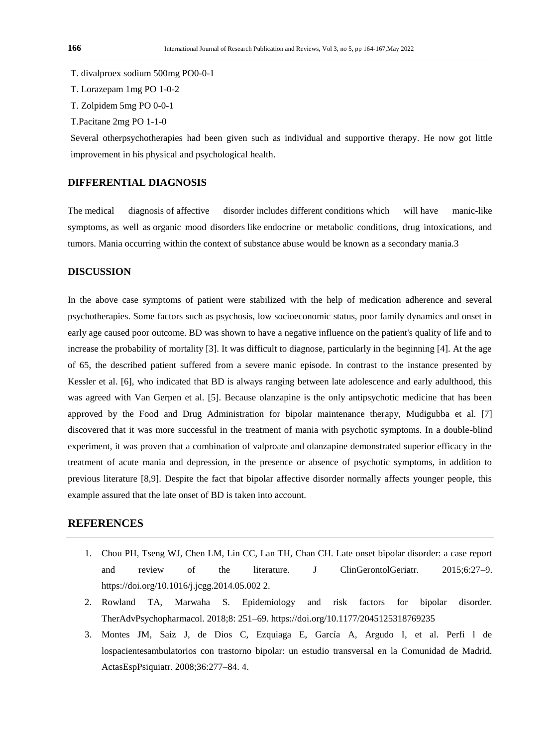- T. divalproex sodium 500mg PO0-0-1
- T. Lorazepam 1mg PO 1-0-2
- T. Zolpidem 5mg PO 0-0-1
- T.Pacitane 2mg PO 1-1-0

Several otherpsychotherapies had been given such as individual and supportive therapy. He now got little improvement in his physical and psychological health.

#### **DIFFERENTIAL DIAGNOSIS**

The medical diagnosis of affective disorder includes different conditions which will have manic-like symptoms, as well as organic mood disorders like endocrine or metabolic conditions, drug intoxications, and tumors. Mania occurring within the context of substance abuse would be known as a secondary mania.3

#### **DISCUSSION**

In the above case symptoms of patient were stabilized with the help of medication adherence and several psychotherapies. Some factors such as psychosis, low socioeconomic status, poor family dynamics and onset in early age caused poor outcome. BD was shown to have a negative influence on the patient's quality of life and to increase the probability of mortality [3]. It was difficult to diagnose, particularly in the beginning [4]. At the age of 65, the described patient suffered from a severe manic episode. In contrast to the instance presented by Kessler et al. [6], who indicated that BD is always ranging between late adolescence and early adulthood, this was agreed with Van Gerpen et al. [5]. Because olanzapine is the only antipsychotic medicine that has been approved by the Food and Drug Administration for bipolar maintenance therapy, Mudigubba et al. [7] discovered that it was more successful in the treatment of mania with psychotic symptoms. In a double-blind experiment, it was proven that a combination of valproate and olanzapine demonstrated superior efficacy in the treatment of acute mania and depression, in the presence or absence of psychotic symptoms, in addition to previous literature [8,9]. Despite the fact that bipolar affective disorder normally affects younger people, this example assured that the late onset of BD is taken into account.

#### **REFERENCES**

- 1. Chou PH, Tseng WJ, Chen LM, Lin CC, Lan TH, Chan CH. Late onset bipolar disorder: a case report and review of the literature. J ClinGerontolGeriatr. 2015;6:27–9. https://doi.org/10.1016/j.jcgg.2014.05.002 2.
- 2. Rowland TA, Marwaha S. Epidemiology and risk factors for bipolar disorder. TherAdvPsychopharmacol. 2018;8: 251–69. https://doi.org/10.1177/2045125318769235
- 3. Montes JM, Saiz J, de Dios C, Ezquiaga E, García A, Argudo I, et al. Perfi l de lospacientesambulatorios con trastorno bipolar: un estudio transversal en la Comunidad de Madrid. ActasEspPsiquiatr. 2008;36:277–84. 4.